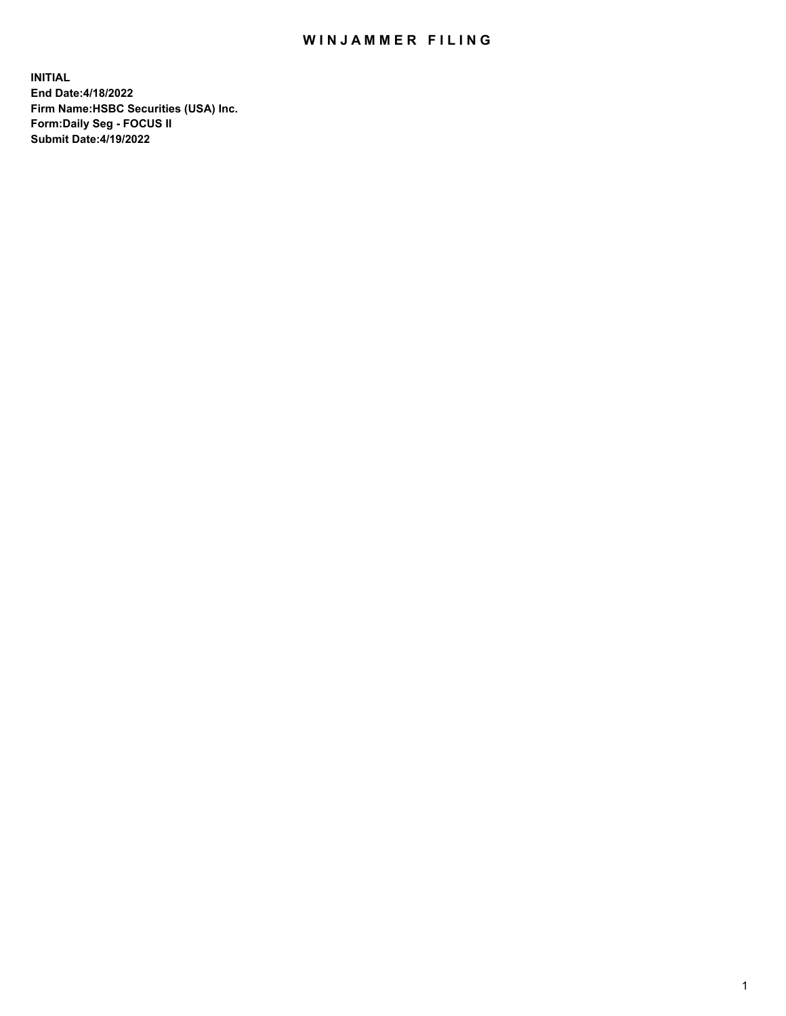## WIN JAMMER FILING

**INITIAL End Date:4/18/2022 Firm Name:HSBC Securities (USA) Inc. Form:Daily Seg - FOCUS II Submit Date:4/19/2022**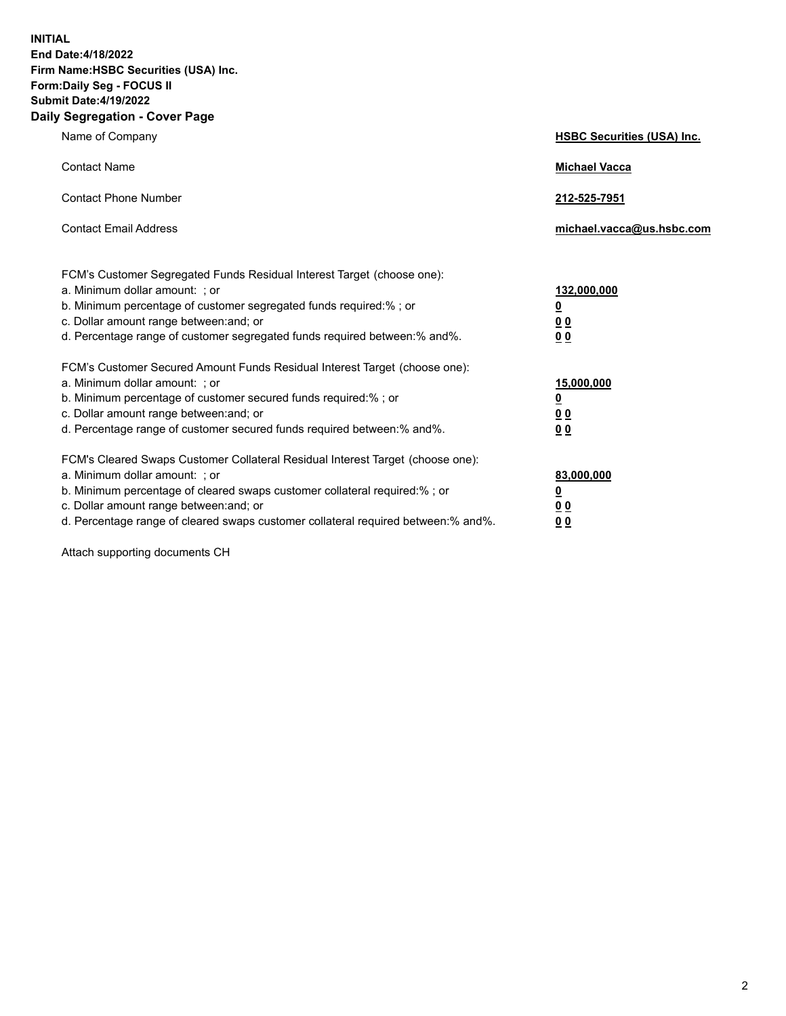**INITIAL End Date:4/18/2022 Firm Name:HSBC Securities (USA) Inc. Form:Daily Seg - FOCUS II Submit Date:4/19/2022 Daily Segregation - Cover Page**

| Name of Company                                                                                                                                                                                                                                                                                                                | <b>HSBC Securities (USA) Inc.</b>                          |
|--------------------------------------------------------------------------------------------------------------------------------------------------------------------------------------------------------------------------------------------------------------------------------------------------------------------------------|------------------------------------------------------------|
| <b>Contact Name</b>                                                                                                                                                                                                                                                                                                            | <b>Michael Vacca</b>                                       |
| <b>Contact Phone Number</b>                                                                                                                                                                                                                                                                                                    | 212-525-7951                                               |
| <b>Contact Email Address</b>                                                                                                                                                                                                                                                                                                   | michael.vacca@us.hsbc.com                                  |
| FCM's Customer Segregated Funds Residual Interest Target (choose one):<br>a. Minimum dollar amount: ; or<br>b. Minimum percentage of customer segregated funds required:%; or<br>c. Dollar amount range between: and; or<br>d. Percentage range of customer segregated funds required between: % and %.                        | 132,000,000<br><u>0</u><br>00<br>0 <sub>0</sub>            |
| FCM's Customer Secured Amount Funds Residual Interest Target (choose one):<br>a. Minimum dollar amount: ; or<br>b. Minimum percentage of customer secured funds required:%; or<br>c. Dollar amount range between: and; or<br>d. Percentage range of customer secured funds required between: % and %.                          | 15,000,000<br><u>0</u><br>0 <sub>0</sub><br>0 <sub>0</sub> |
| FCM's Cleared Swaps Customer Collateral Residual Interest Target (choose one):<br>a. Minimum dollar amount: ; or<br>b. Minimum percentage of cleared swaps customer collateral required:% ; or<br>c. Dollar amount range between: and; or<br>d. Percentage range of cleared swaps customer collateral required between:% and%. | 83,000,000<br><u>0</u><br><u>00</u><br>00                  |

Attach supporting documents CH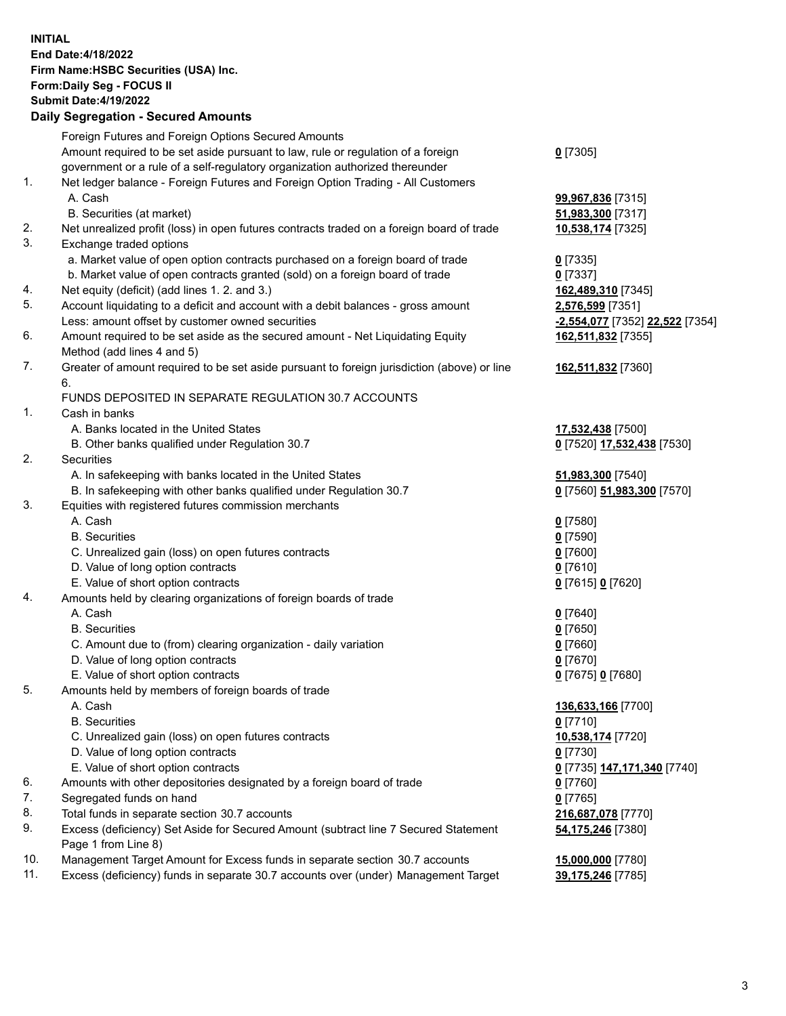**INITIAL End Date:4/18/2022 Firm Name:HSBC Securities (USA) Inc. Form:Daily Seg - FOCUS II Submit Date:4/19/2022 Daily Segregation - Secured Amounts** Foreign Futures and Foreign Options Secured Amounts Amount required to be set aside pursuant to law, rule or regulation of a foreign government or a rule of a self-regulatory organization authorized thereunder **0** [7305] 1. Net ledger balance - Foreign Futures and Foreign Option Trading - All Customers A. Cash **99,967,836** [7315] B. Securities (at market) **51,983,300** [7317] 2. Net unrealized profit (loss) in open futures contracts traded on a foreign board of trade **10,538,174** [7325] 3. Exchange traded options a. Market value of open option contracts purchased on a foreign board of trade **0** [7335] b. Market value of open contracts granted (sold) on a foreign board of trade **0** [7337] 4. Net equity (deficit) (add lines 1. 2. and 3.) **162,489,310** [7345] 5. Account liquidating to a deficit and account with a debit balances - gross amount **2,576,599** [7351] Less: amount offset by customer owned securities **-2,554,077** [7352] **22,522** [7354] 6. Amount required to be set aside as the secured amount - Net Liquidating Equity Method (add lines 4 and 5) **162,511,832** [7355] 7. Greater of amount required to be set aside pursuant to foreign jurisdiction (above) or line 6. **162,511,832** [7360] FUNDS DEPOSITED IN SEPARATE REGULATION 30.7 ACCOUNTS 1. Cash in banks A. Banks located in the United States **17,532,438** [7500] B. Other banks qualified under Regulation 30.7 **0** [7520] **17,532,438** [7530] 2. Securities A. In safekeeping with banks located in the United States **51,983,300** [7540] B. In safekeeping with other banks qualified under Regulation 30.7 **0** [7560] **51,983,300** [7570] 3. Equities with registered futures commission merchants A. Cash **0** [7580] B. Securities **0** [7590] C. Unrealized gain (loss) on open futures contracts **0** [7600] D. Value of long option contracts **0** [7610] E. Value of short option contracts **0** [7615] **0** [7620] 4. Amounts held by clearing organizations of foreign boards of trade A. Cash **0** [7640] B. Securities **0** [7650] C. Amount due to (from) clearing organization - daily variation **0** [7660] D. Value of long option contracts **0** [7670] E. Value of short option contracts **0** [7675] **0** [7680] 5. Amounts held by members of foreign boards of trade A. Cash **136,633,166** [7700] B. Securities **0** [7710] C. Unrealized gain (loss) on open futures contracts **10,538,174** [7720] D. Value of long option contracts **0** [7730] E. Value of short option contracts **0** [7735] **147,171,340** [7740] 6. Amounts with other depositories designated by a foreign board of trade **0** [7760] 7. Segregated funds on hand **0** [7765] 8. Total funds in separate section 30.7 accounts **216,687,078** [7770] 9. Excess (deficiency) Set Aside for Secured Amount (subtract line 7 Secured Statement Page 1 from Line 8) **54,175,246** [7380] 10. Management Target Amount for Excess funds in separate section 30.7 accounts **15,000,000** [7780]

11. Excess (deficiency) funds in separate 30.7 accounts over (under) Management Target **39,175,246** [7785]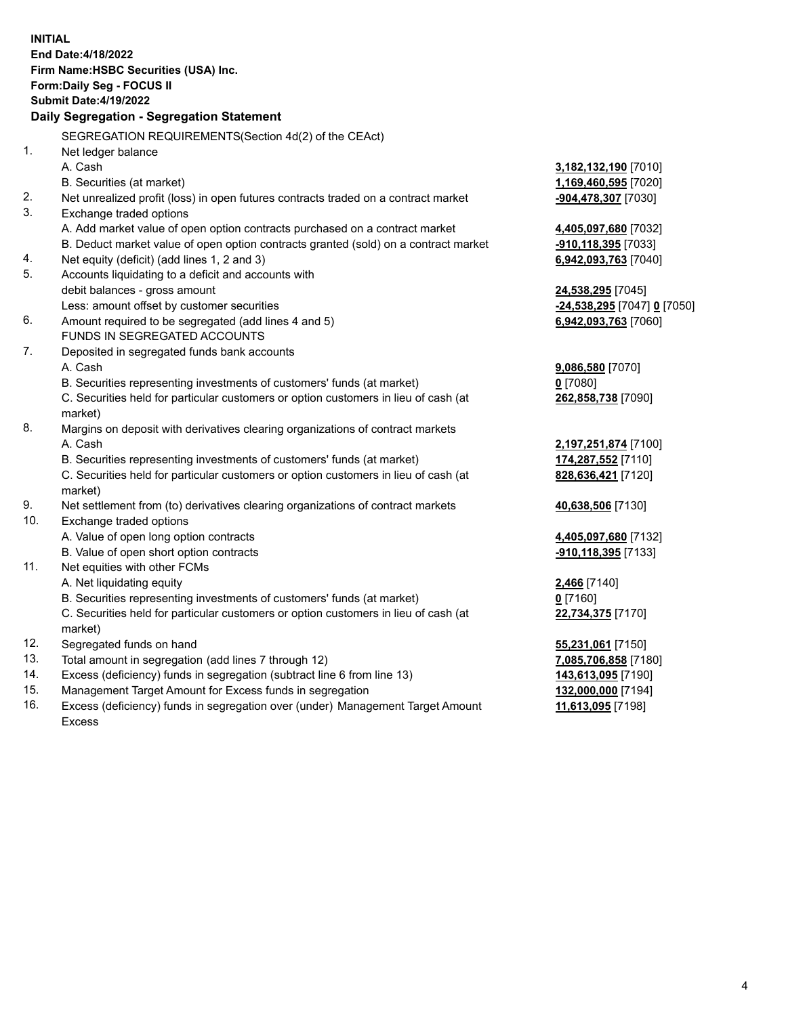**INITIAL End Date:4/18/2022 Firm Name:HSBC Securities (USA) Inc. Form:Daily Seg - FOCUS II Submit Date:4/19/2022 Daily Segregation - Segregation Statement** SEGREGATION REQUIREMENTS(Section 4d(2) of the CEAct) 1. Net ledger balance A. Cash **3,182,132,190** [7010] B. Securities (at market) **1,169,460,595** [7020] 2. Net unrealized profit (loss) in open futures contracts traded on a contract market **-904,478,307** [7030] 3. Exchange traded options A. Add market value of open option contracts purchased on a contract market **4,405,097,680** [7032] B. Deduct market value of open option contracts granted (sold) on a contract market **-910,118,395** [7033] 4. Net equity (deficit) (add lines 1, 2 and 3) **6,942,093,763** [7040] 5. Accounts liquidating to a deficit and accounts with debit balances - gross amount **24,538,295** [7045] Less: amount offset by customer securities **-24,538,295** [7047] **0** [7050] 6. Amount required to be segregated (add lines 4 and 5) **6,942,093,763** [7060] FUNDS IN SEGREGATED ACCOUNTS 7. Deposited in segregated funds bank accounts A. Cash **9,086,580** [7070] B. Securities representing investments of customers' funds (at market) **0** [7080] C. Securities held for particular customers or option customers in lieu of cash (at market) **262,858,738** [7090] 8. Margins on deposit with derivatives clearing organizations of contract markets A. Cash **2,197,251,874** [7100] B. Securities representing investments of customers' funds (at market) **174,287,552** [7110] C. Securities held for particular customers or option customers in lieu of cash (at market) **828,636,421** [7120] 9. Net settlement from (to) derivatives clearing organizations of contract markets **40,638,506** [7130] 10. Exchange traded options A. Value of open long option contracts **4,405,097,680** [7132] B. Value of open short option contracts **-910,118,395** [7133] 11. Net equities with other FCMs A. Net liquidating equity **2,466** [7140] B. Securities representing investments of customers' funds (at market) **0** [7160] C. Securities held for particular customers or option customers in lieu of cash (at market) **22,734,375** [7170] 12. Segregated funds on hand **55,231,061** [7150] 13. Total amount in segregation (add lines 7 through 12) **7,085,706,858** [7180] 14. Excess (deficiency) funds in segregation (subtract line 6 from line 13) **143,613,095** [7190] 15. Management Target Amount for Excess funds in segregation **132,000,000** [7194] 16. Excess (deficiency) funds in segregation over (under) Management Target Amount **11,613,095** [7198]

Excess